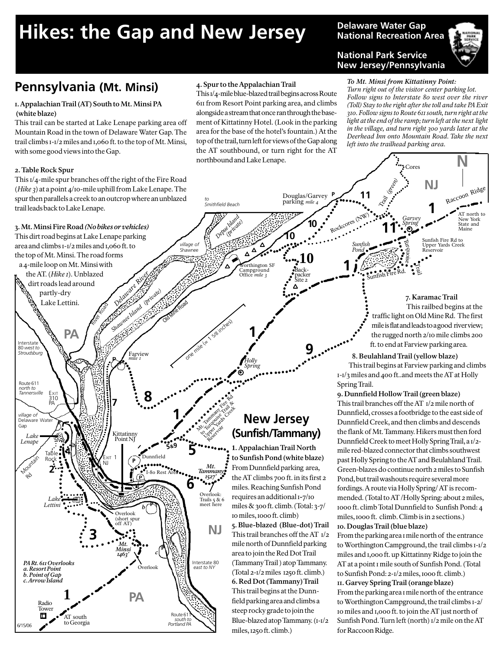# Hikes: the Gap and New Jersey **Delaware Water Gap**

## **National Recreation Area**

#### **National Park Service New Jersey/Pennsylvania**

*Sunfish Pond*

Douglas/Garvey **P**<sub>11</sub>

**P**

parking *mile 4*

#### *To Mt. Minsi from Kittatinny Point:*

*Turn right out of the visitor center parking lot. Follow signs to Interstate 80 west over the river (Toll) Stay to the right after the toll and take PA Exit 310. Follow signs to Route 611 south, turn right at the light at the end of the ramp; turn left at the next light in the village, and turn right 300 yards later at the Deerhead Inn onto Mountain Road. Take the next left into the trailhead parking area.*

**NJ**

**1**

Sunfish Fire Rd to Upper Yards Creek servoir

 **7. Karamac Trail** This railbed begins at the

 traffic light on Old Mine Rd. The first mile is flat and leads to a good river view; the rugged north 2/10 mile climbs 200 ft. to end at Farview parking area.

*Garvey Spring*

Trail

Cores

ar<br>ori

E

Trail (green)

**11**

Sunfish Fire Rd.

AT north to<br>New York York State and Maine

**N**

Raccoon Ridge

## **Pennsylvania (Mt. Minsi)**

#### **1. Appalachian Trail (AT) South to Mt. Minsi PA (white blaze)**

This trail can be started at Lake Lenape parking area off Mountain Road in the town of Delaware Water Gap. The trail climbs 1-1/2 miles and 1,060 ft. to the top of Mt. Minsi, with some good views into the Gap.

#### **2. Table Rock Spur**

This 1/4-mile spur branches off the right of the Fire Road (*Hike 3*) at a point 4/10-mile uphill from Lake Lenape. The spur then parallels a creek to an outcrop where an unblazed trail leads back to Lake Lenape.

River Road

#### **3. Mt. Minsi Fire Road** *(No bikes or vehicles)*

This dirt road begins at Lake Lenape parking area and climbs 1-1/2 miles and 1,060 ft. to the top of Mt. Minsi. The road forms a 4-mile loop on Mt. Minsi with

 the AT. (*Hike 1*). Unblazed dirt roads lead around **partly-dry** 

Lake Lettini.

Interstate<br>80 west to

**PA**



**4. Spur to the Appalachian Trail**

northbound and Lake Lenape.

*to Smithfield Beach*

This 1/4-mile blue-blazed trail begins across Route 611 from Resort Point parking area, and climbs alongside a stream that once ran through the basement of Kittatinny Hotel. (Look in the parking area for the base of the hotel's fountain.) At the top of the trail, turn left for views of the Gap along the AT southbound, or turn right for the AT

### **New Jersey (Sunfish/Tammany)**

**1. Appalachian Trail North to Sunfish Pond (white blaze)** From Dunnfield parking area, the AT climbs 700 ft. in its first 2 miles. Reaching Sunfish Pond requires an additional 1**-**7/10 miles & 300 ft. climb. (Total: 3-7/ 10 miles, 1000 ft. climb)

**5. Blue-blazed (Blue-dot) Trail** This trail branches off the AT 1/2 mile north of Dunnfield parking area to join the Red Dot Trail (Tammany Trail ) atop Tammany. (Total 2-1/2miles 1250 ft. climb.) **6. Red Dot (Tammany) Trail** This trail begins at the Dunnfield parking area and climbs a steep rocky grade to join the Blue-blazed atop Tammany. (1-1/2 miles, 1250 ft. climb.)

Spring Trail. **9. Dunnfield Hollow Trail (green blaze)** This trail branches off the AT 1/2 mile north of Dunnfield, crosses a footbridge to the east side of Dunnfield Creek, and then climbs and descends the flank of Mt. Tammany. Hikers must then ford Dunnfield Creek to meet Holly Spring Trail, a 1/2 mile red-blazed connector that climbs southwest past Holly Spring to the AT and Beulahland Trail. Green-blazes do continue north 2 miles to Sunfish Pond, but trail washouts require several more fordings. A route via Holly Spring/ AT is recommended. (Total to AT /Holly Spring: about 2 miles,

 **8. Beulahland Trail (yellow blaze)** This trail begins at Farview parking and climbs

1000 ft. climb Total Dunnfield to Sunfish Pond: 4 miles, 1000 ft. climb. Climb is in 2 sections.) **10. Douglas Trail (blue blaze)**

From the parking area 1 mile north of the entrance to Worthington Campground, the trail climbs 1-1/2 miles and 1,000 ft. up Kittatinny Ridge to join the AT at a point 1 mile south of Sunfish Pond. (Total to Sunfish Pond: 2-1/2 miles, 1000 ft. climb.)

#### **11. Garvey Spring Trail (orange blaze)**

From the parking area 1 mile north of the entrance to Worthington Campground, the trail climbs 1-2/ 10 miles and 1,000 ft. to join the AT just north of Sunfish Pond. Turn left (north) 1/2 mile on the AT for Raccoon Ridge.



Shawnee Island